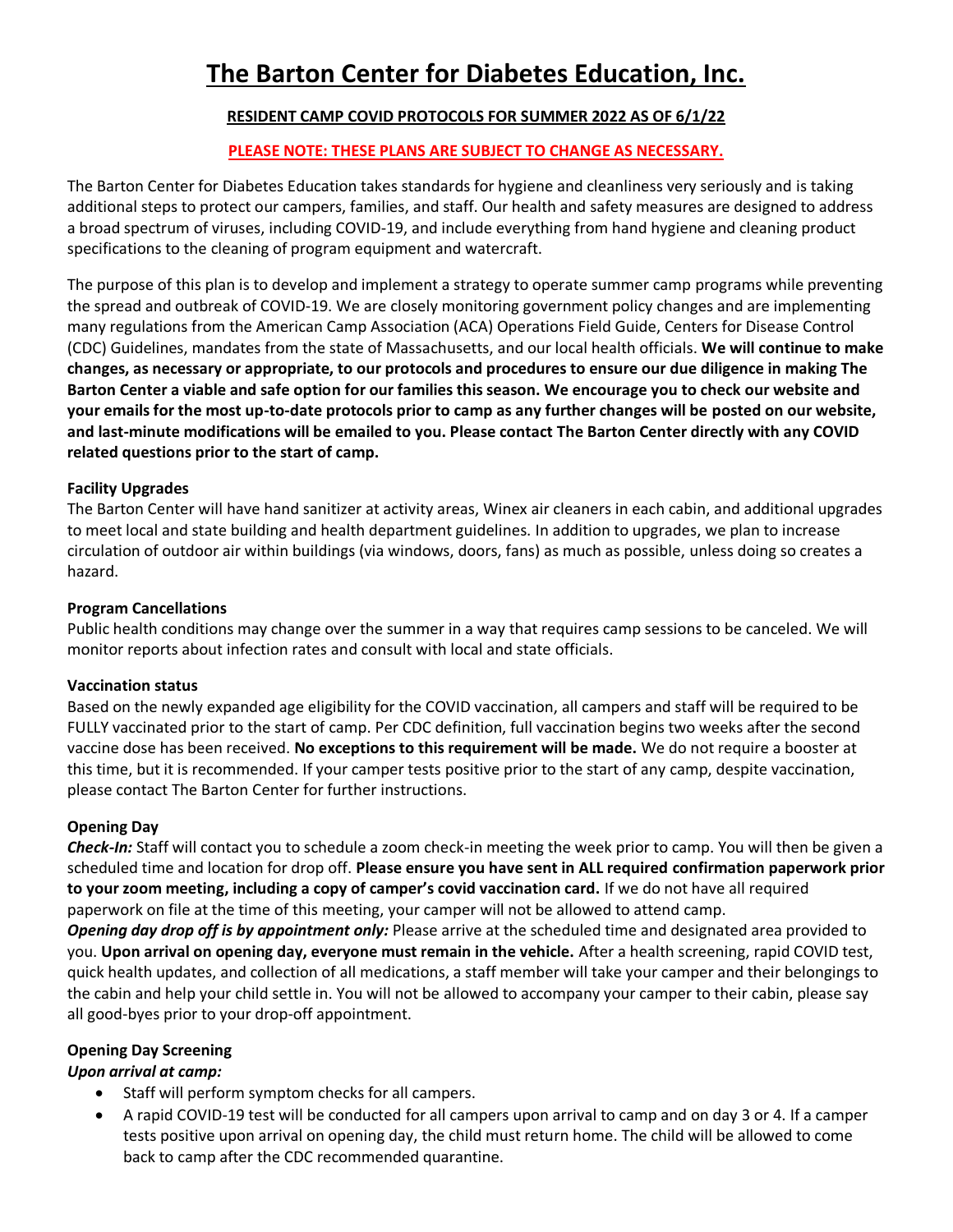# **The Barton Center for Diabetes Education, Inc.**

# **RESIDENT CAMP COVID PROTOCOLS FOR SUMMER 2022 AS OF 6/1/22**

# **PLEASE NOTE: THESE PLANS ARE SUBJECT TO CHANGE AS NECESSARY.**

The Barton Center for Diabetes Education takes standards for hygiene and cleanliness very seriously and is taking additional steps to protect our campers, families, and staff. Our health and safety measures are designed to address a broad spectrum of viruses, including COVID-19, and include everything from hand hygiene and cleaning product specifications to the cleaning of program equipment and watercraft.

The purpose of this plan is to develop and implement a strategy to operate summer camp programs while preventing the spread and outbreak of COVID-19. We are closely monitoring government policy changes and are implementing many regulations from the American Camp Association (ACA) Operations Field Guide, Centers for Disease Control (CDC) Guidelines, mandates from the state of Massachusetts, and our local health officials. **We will continue to make changes, as necessary or appropriate, to our protocols and procedures to ensure our due diligence in making The Barton Center a viable and safe option for our families this season. We encourage you to check our website and your emails for the most up-to-date protocols prior to camp as any further changes will be posted on our website, and last-minute modifications will be emailed to you. Please contact The Barton Center directly with any COVID related questions prior to the start of camp.**

# **Facility Upgrades**

The Barton Center will have hand sanitizer at activity areas, Winex air cleaners in each cabin, and additional upgrades to meet local and state building and health department guidelines. In addition to upgrades, we plan to increase circulation of outdoor air within buildings (via windows, doors, fans) as much as possible, unless doing so creates a hazard.

## **Program Cancellations**

Public health conditions may change over the summer in a way that requires camp sessions to be canceled. We will monitor reports about infection rates and consult with local and state officials.

## **Vaccination status**

Based on the newly expanded age eligibility for the COVID vaccination, all campers and staff will be required to be FULLY vaccinated prior to the start of camp. Per CDC definition, full vaccination begins two weeks after the second vaccine dose has been received. **No exceptions to this requirement will be made.** We do not require a booster at this time, but it is recommended. If your camper tests positive prior to the start of any camp, despite vaccination, please contact The Barton Center for further instructions.

# **Opening Day**

*Check-In:* Staff will contact you to schedule a zoom check-in meeting the week prior to camp. You will then be given a scheduled time and location for drop off. **Please ensure you have sent in ALL required confirmation paperwork prior to your zoom meeting, including a copy of camper's covid vaccination card.** If we do not have all required paperwork on file at the time of this meeting, your camper will not be allowed to attend camp.

*Opening day drop off is by appointment only:* Please arrive at the scheduled time and designated area provided to you. **Upon arrival on opening day, everyone must remain in the vehicle.** After a health screening, rapid COVID test, quick health updates, and collection of all medications, a staff member will take your camper and their belongings to the cabin and help your child settle in. You will not be allowed to accompany your camper to their cabin, please say all good-byes prior to your drop-off appointment.

# **Opening Day Screening**

# *Upon arrival at camp:*

- Staff will perform symptom checks for all campers.
- A rapid COVID-19 test will be conducted for all campers upon arrival to camp and on day 3 or 4. If a camper tests positive upon arrival on opening day, the child must return home. The child will be allowed to come back to camp after the CDC recommended quarantine.